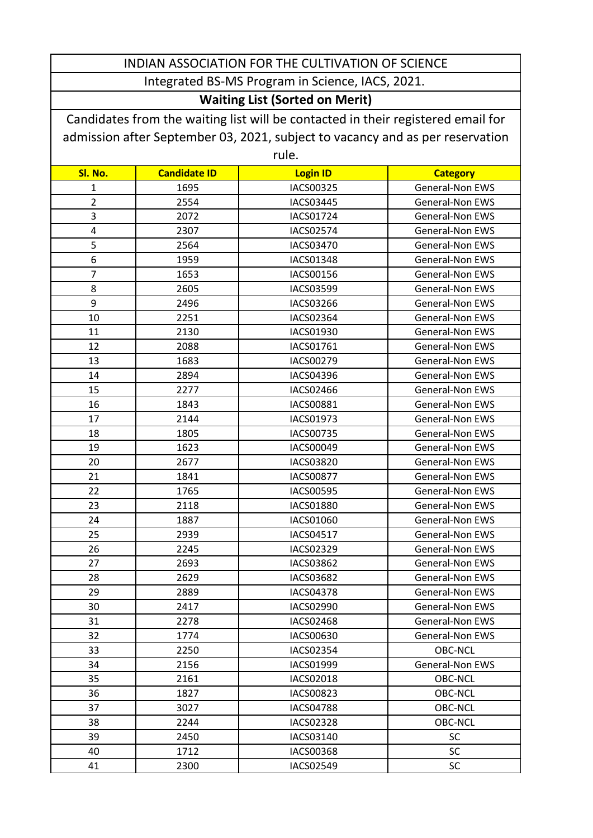## INDIAN ASSOCIATION FOR THE CULTIVATION OF SCIENCE Integrated BS-MS Program in Science, IACS, 2021.

## **Waiting List (Sorted on Merit)**

Candidates from the waiting list will be contacted in their registered email for admission after September 03, 2021, subject to vacancy and as per reservation rule.

| i uic.         |                     |                  |                        |  |
|----------------|---------------------|------------------|------------------------|--|
| Sl. No.        | <b>Candidate ID</b> | <b>Login ID</b>  | <b>Category</b>        |  |
| 1              | 1695                | IACS00325        | General-Non EWS        |  |
| $\overline{2}$ | 2554                | <b>IACS03445</b> | <b>General-Non EWS</b> |  |
| 3              | 2072                | IACS01724        | <b>General-Non EWS</b> |  |
| 4              | 2307                | <b>IACS02574</b> | <b>General-Non EWS</b> |  |
| 5              | 2564                | <b>IACS03470</b> | <b>General-Non EWS</b> |  |
| 6              | 1959                | <b>IACS01348</b> | <b>General-Non EWS</b> |  |
| $\overline{7}$ | 1653                | IACS00156        | General-Non EWS        |  |
| 8              | 2605                | IACS03599        | <b>General-Non EWS</b> |  |
| 9              | 2496                | IACS03266        | <b>General-Non EWS</b> |  |
| 10             | 2251                | IACS02364        | <b>General-Non EWS</b> |  |
| 11             | 2130                | IACS01930        | <b>General-Non EWS</b> |  |
| 12             | 2088                | IACS01761        | General-Non EWS        |  |
| 13             | 1683                | IACS00279        | <b>General-Non EWS</b> |  |
| 14             | 2894                | IACS04396        | <b>General-Non EWS</b> |  |
| 15             | 2277                | <b>IACS02466</b> | <b>General-Non EWS</b> |  |
| 16             | 1843                | <b>IACS00881</b> | <b>General-Non EWS</b> |  |
| 17             | 2144                | IACS01973        | <b>General-Non EWS</b> |  |
| 18             | 1805                | IACS00735        | <b>General-Non EWS</b> |  |
| 19             | 1623                | IACS00049        | <b>General-Non EWS</b> |  |
| 20             | 2677                | <b>IACS03820</b> | <b>General-Non EWS</b> |  |
| 21             | 1841                | <b>IACS00877</b> | <b>General-Non EWS</b> |  |
| 22             | 1765                | IACS00595        | <b>General-Non EWS</b> |  |
| 23             | 2118                | <b>IACS01880</b> | <b>General-Non EWS</b> |  |
| 24             | 1887                | IACS01060        | <b>General-Non EWS</b> |  |
| 25             | 2939                | IACS04517        | <b>General-Non EWS</b> |  |
| 26             | 2245                | IACS02329        | <b>General-Non EWS</b> |  |
| 27             | 2693                | IACS03862        | <b>General-Non EWS</b> |  |
| 28             | 2629                | IACS03682        | <b>General-Non EWS</b> |  |
| 29             | 2889                | <b>IACS04378</b> | <b>General-Non EWS</b> |  |
| 30             | 2417                | IACS02990        | General-Non EWS        |  |
| 31             | 2278                | IACS02468        | General-Non EWS        |  |
| 32             | 1774                | IACS00630        | <b>General-Non EWS</b> |  |
| 33             | 2250                | <b>IACS02354</b> | <b>OBC-NCL</b>         |  |
| 34             | 2156                | IACS01999        | <b>General-Non EWS</b> |  |
| 35             | 2161                | <b>IACS02018</b> | <b>OBC-NCL</b>         |  |
| 36             | 1827                | <b>IACS00823</b> | <b>OBC-NCL</b>         |  |
| 37             | 3027                | <b>IACS04788</b> | <b>OBC-NCL</b>         |  |
| 38             | 2244                | <b>IACS02328</b> | OBC-NCL                |  |
| 39             | 2450                | IACS03140        | <b>SC</b>              |  |
| 40             | 1712                | IACS00368        | <b>SC</b>              |  |
| 41             | 2300                | IACS02549        | <b>SC</b>              |  |